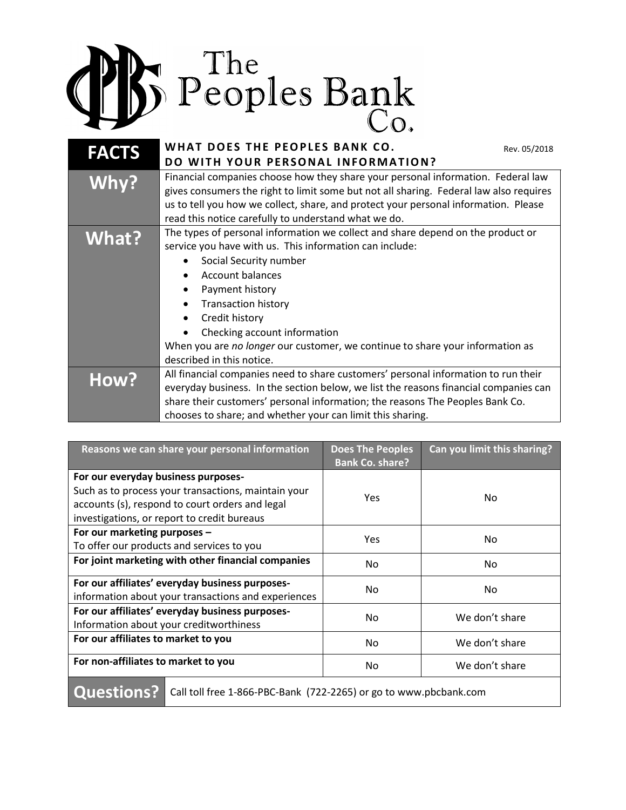

| <b>FACTS</b> | WHAT DOES THE PEOPLES BANK CO.<br>Rev. 05/2018<br>DO WITH YOUR PERSONAL INFORMATION?                                                                                                                                                                                                                                                                                                                           |
|--------------|----------------------------------------------------------------------------------------------------------------------------------------------------------------------------------------------------------------------------------------------------------------------------------------------------------------------------------------------------------------------------------------------------------------|
| Why?         | Financial companies choose how they share your personal information. Federal law<br>gives consumers the right to limit some but not all sharing. Federal law also requires<br>us to tell you how we collect, share, and protect your personal information. Please<br>read this notice carefully to understand what we do.                                                                                      |
| What?        | The types of personal information we collect and share depend on the product or<br>service you have with us. This information can include:<br>Social Security number<br>Account balances<br>Payment history<br>٠<br><b>Transaction history</b><br>Credit history<br>Checking account information<br>When you are no longer our customer, we continue to share your information as<br>described in this notice. |
| How?         | All financial companies need to share customers' personal information to run their<br>everyday business. In the section below, we list the reasons financial companies can<br>share their customers' personal information; the reasons The Peoples Bank Co.<br>chooses to share; and whether your can limit this sharing.                                                                                      |

| Reasons we can share your personal information                                                                                                                                               | <b>Does The Peoples</b><br><b>Bank Co. share?</b> | Can you limit this sharing? |
|----------------------------------------------------------------------------------------------------------------------------------------------------------------------------------------------|---------------------------------------------------|-----------------------------|
| For our everyday business purposes-<br>Such as to process your transactions, maintain your<br>accounts (s), respond to court orders and legal<br>investigations, or report to credit bureaus | <b>Yes</b>                                        | No                          |
| For our marketing purposes -<br>To offer our products and services to you                                                                                                                    | <b>Yes</b>                                        | No                          |
| For joint marketing with other financial companies                                                                                                                                           | No                                                | No                          |
| For our affiliates' everyday business purposes-<br>information about your transactions and experiences                                                                                       | No                                                | No                          |
| For our affiliates' everyday business purposes-<br>Information about your creditworthiness                                                                                                   | No                                                | We don't share              |
| For our affiliates to market to you                                                                                                                                                          | No                                                | We don't share              |
| For non-affiliates to market to you                                                                                                                                                          | No                                                | We don't share              |
|                                                                                                                                                                                              |                                                   |                             |

Questions? | Call toll free 1-866-PBC-Bank (722-2265) or go to www.pbcbank.com